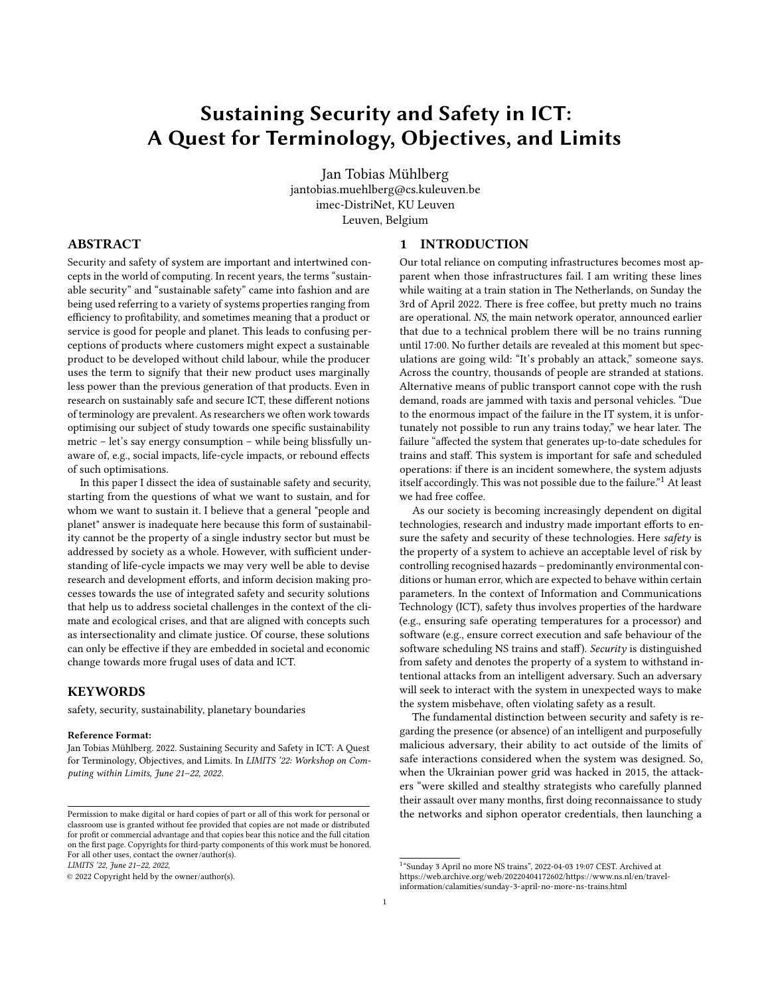# Sustaining Security and Safety in ICT: A Quest for Terminology, Objectives, and Limits

Jan Tobias Mühlberg jantobias.muehlberg@cs.kuleuven.be imec-DistriNet, KU Leuven Leuven, Belgium

## ABSTRACT

Security and safety of system are important and intertwined concepts in the world of computing. In recent years, the terms "sustainable security" and "sustainable safety" came into fashion and are being used referring to a variety of systems properties ranging from efficiency to profitability, and sometimes meaning that a product or service is good for people and planet. This leads to confusing perceptions of products where customers might expect a sustainable product to be developed without child labour, while the producer uses the term to signify that their new product uses marginally less power than the previous generation of that products. Even in research on sustainably safe and secure ICT, these different notions of terminology are prevalent. As researchers we often work towards optimising our subject of study towards one specific sustainability metric – let's say energy consumption – while being blissfully unaware of, e.g., social impacts, life-cycle impacts, or rebound effects of such optimisations.

In this paper I dissect the idea of sustainable safety and security, starting from the questions of what we want to sustain, and for whom we want to sustain it. I believe that a general "people and planet" answer is inadequate here because this form of sustainability cannot be the property of a single industry sector but must be addressed by society as a whole. However, with sufficient understanding of life-cycle impacts we may very well be able to devise research and development efforts, and inform decision making processes towards the use of integrated safety and security solutions that help us to address societal challenges in the context of the climate and ecological crises, and that are aligned with concepts such as intersectionality and climate justice. Of course, these solutions can only be effective if they are embedded in societal and economic change towards more frugal uses of data and ICT.

## **KEYWORDS**

safety, security, sustainability, planetary boundaries

#### Reference Format:

Jan Tobias Mühlberg. 2022. Sustaining Security and Safety in ICT: A Quest for Terminology, Objectives, and Limits. In LIMITS '22: Workshop on Computing within Limits, June 21–22, 2022.

LIMITS '22, June 21–22, 2022,

#### 1 INTRODUCTION

Our total reliance on computing infrastructures becomes most apparent when those infrastructures fail. I am writing these lines while waiting at a train station in The Netherlands, on Sunday the 3rd of April 2022. There is free coffee, but pretty much no trains are operational. NS, the main network operator, announced earlier that due to a technical problem there will be no trains running until 17:00. No further details are revealed at this moment but speculations are going wild: "It's probably an attack," someone says. Across the country, thousands of people are stranded at stations. Alternative means of public transport cannot cope with the rush demand, roads are jammed with taxis and personal vehicles. "Due to the enormous impact of the failure in the IT system, it is unfortunately not possible to run any trains today," we hear later. The failure "affected the system that generates up-to-date schedules for trains and staff. This system is important for safe and scheduled operations: if there is an incident somewhere, the system adjusts itself accordingly. This was not possible due to the failure."[1](#page-0-0) At least we had free coffee.

As our society is becoming increasingly dependent on digital technologies, research and industry made important efforts to ensure the safety and security of these technologies. Here safety is the property of a system to achieve an acceptable level of risk by controlling recognised hazards – predominantly environmental conditions or human error, which are expected to behave within certain parameters. In the context of Information and Communications Technology (ICT), safety thus involves properties of the hardware (e.g., ensuring safe operating temperatures for a processor) and software (e.g., ensure correct execution and safe behaviour of the software scheduling NS trains and staff). Security is distinguished from safety and denotes the property of a system to withstand intentional attacks from an intelligent adversary. Such an adversary will seek to interact with the system in unexpected ways to make the system misbehave, often violating safety as a result.

The fundamental distinction between security and safety is regarding the presence (or absence) of an intelligent and purposefully malicious adversary, their ability to act outside of the limits of safe interactions considered when the system was designed. So, when the Ukrainian power grid was hacked in 2015, the attackers "were skilled and stealthy strategists who carefully planned their assault over many months, first doing reconnaissance to study the networks and siphon operator credentials, then launching a

Permission to make digital or hard copies of part or all of this work for personal or classroom use is granted without fee provided that copies are not made or distributed for profit or commercial advantage and that copies bear this notice and the full citation on the first page. Copyrights for third-party components of this work must be honored. For all other uses, contact the owner/author(s).

<sup>©</sup> 2022 Copyright held by the owner/author(s).

<span id="page-0-0"></span><sup>1</sup> "Sunday 3 April no more NS trains", 2022-04-03 19:07 CEST. Archived at [https://web.archive.org/web/20220404172602/https://www.ns.nl/en/travel](https://web.archive.org/web/20220404172602/https://www.ns.nl/en/travel-information/calamities/sunday-3-april-no-more-ns-trains.html)[information/calamities/sunday-3-april-no-more-ns-trains.html](https://web.archive.org/web/20220404172602/https://www.ns.nl/en/travel-information/calamities/sunday-3-april-no-more-ns-trains.html)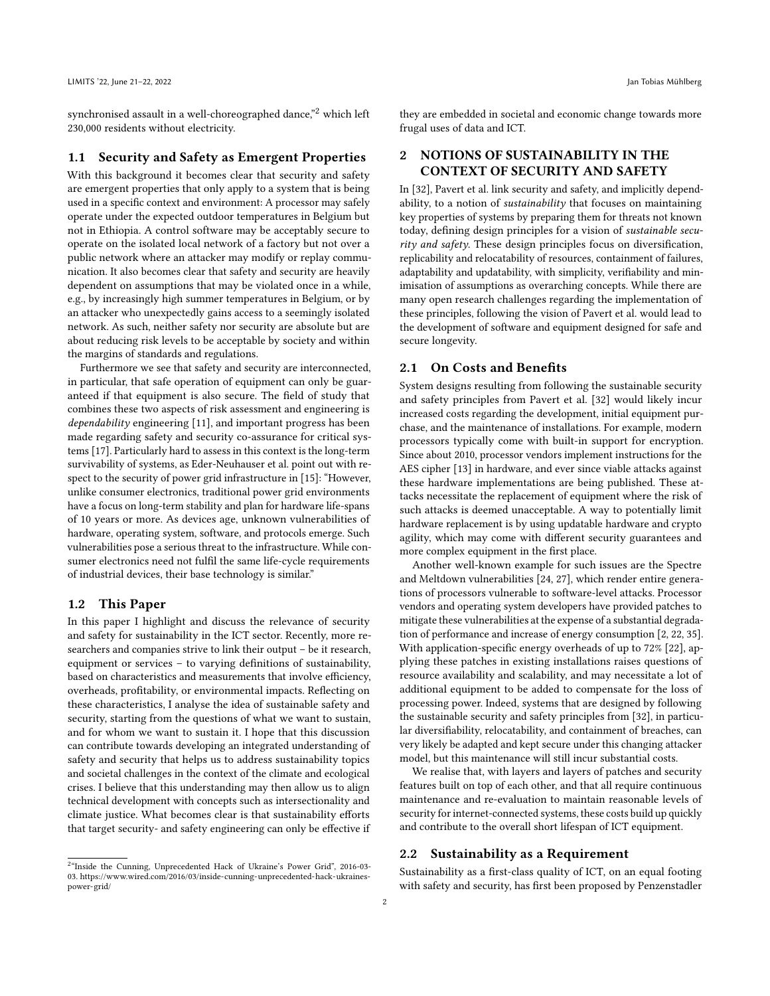synchronised assault in a well-choreographed dance,"<sup>[2](#page-1-0)</sup> which left 230,000 residents without electricity.

#### 1.1 Security and Safety as Emergent Properties

With this background it becomes clear that security and safety are emergent properties that only apply to a system that is being used in a specific context and environment: A processor may safely operate under the expected outdoor temperatures in Belgium but not in Ethiopia. A control software may be acceptably secure to operate on the isolated local network of a factory but not over a public network where an attacker may modify or replay communication. It also becomes clear that safety and security are heavily dependent on assumptions that may be violated once in a while, e.g., by increasingly high summer temperatures in Belgium, or by an attacker who unexpectedly gains access to a seemingly isolated network. As such, neither safety nor security are absolute but are about reducing risk levels to be acceptable by society and within the margins of standards and regulations.

Furthermore we see that safety and security are interconnected, in particular, that safe operation of equipment can only be guaranteed if that equipment is also secure. The field of study that combines these two aspects of risk assessment and engineering is dependability engineering [\[11\]](#page-7-0), and important progress has been made regarding safety and security co-assurance for critical systems [\[17\]](#page-7-1). Particularly hard to assess in this context is the long-term survivability of systems, as Eder-Neuhauser et al. point out with respect to the security of power grid infrastructure in [\[15\]](#page-7-2): "However, unlike consumer electronics, traditional power grid environments have a focus on long-term stability and plan for hardware life-spans of 10 years or more. As devices age, unknown vulnerabilities of hardware, operating system, software, and protocols emerge. Such vulnerabilities pose a serious threat to the infrastructure. While consumer electronics need not fulfil the same life-cycle requirements of industrial devices, their base technology is similar."

#### 1.2 This Paper

In this paper I highlight and discuss the relevance of security and safety for sustainability in the ICT sector. Recently, more researchers and companies strive to link their output – be it research, equipment or services – to varying definitions of sustainability, based on characteristics and measurements that involve efficiency, overheads, profitability, or environmental impacts. Reflecting on these characteristics, I analyse the idea of sustainable safety and security, starting from the questions of what we want to sustain, and for whom we want to sustain it. I hope that this discussion can contribute towards developing an integrated understanding of safety and security that helps us to address sustainability topics and societal challenges in the context of the climate and ecological crises. I believe that this understanding may then allow us to align technical development with concepts such as intersectionality and climate justice. What becomes clear is that sustainability efforts that target security- and safety engineering can only be effective if

<span id="page-1-0"></span><sup>2</sup>"Inside the Cunning, Unprecedented Hack of Ukraine's Power Grid", 2016-03-03. [https://www.wired.com/2016/03/inside-cunning-unprecedented-hack-ukraines](https://www.wired.com/2016/03/inside-cunning-unprecedented-hack-ukraines-power-grid/)[power-grid/](https://www.wired.com/2016/03/inside-cunning-unprecedented-hack-ukraines-power-grid/)

they are embedded in societal and economic change towards more frugal uses of data and ICT.

## 2 NOTIONS OF SUSTAINABILITY IN THE CONTEXT OF SECURITY AND SAFETY

In [\[32\]](#page-7-3), Pavert et al. link security and safety, and implicitly dependability, to a notion of sustainability that focuses on maintaining key properties of systems by preparing them for threats not known today, defining design principles for a vision of sustainable security and safety. These design principles focus on diversification, replicability and relocatability of resources, containment of failures, adaptability and updatability, with simplicity, verifiability and minimisation of assumptions as overarching concepts. While there are many open research challenges regarding the implementation of these principles, following the vision of Pavert et al. would lead to the development of software and equipment designed for safe and secure longevity.

#### 2.1 On Costs and Benefits

System designs resulting from following the sustainable security and safety principles from Pavert et al. [\[32\]](#page-7-3) would likely incur increased costs regarding the development, initial equipment purchase, and the maintenance of installations. For example, modern processors typically come with built-in support for encryption. Since about 2010, processor vendors implement instructions for the AES cipher [\[13\]](#page-7-4) in hardware, and ever since viable attacks against these hardware implementations are being published. These attacks necessitate the replacement of equipment where the risk of such attacks is deemed unacceptable. A way to potentially limit hardware replacement is by using updatable hardware and crypto agility, which may come with different security guarantees and more complex equipment in the first place.

Another well-known example for such issues are the Spectre and Meltdown vulnerabilities [\[24,](#page-7-5) [27\]](#page-7-6), which render entire generations of processors vulnerable to software-level attacks. Processor vendors and operating system developers have provided patches to mitigate these vulnerabilities at the expense of a substantial degradation of performance and increase of energy consumption [\[2,](#page-7-7) [22,](#page-7-8) [35\]](#page-7-9). With application-specific energy overheads of up to 72% [\[22\]](#page-7-8), applying these patches in existing installations raises questions of resource availability and scalability, and may necessitate a lot of additional equipment to be added to compensate for the loss of processing power. Indeed, systems that are designed by following the sustainable security and safety principles from [\[32\]](#page-7-3), in particular diversifiability, relocatability, and containment of breaches, can very likely be adapted and kept secure under this changing attacker model, but this maintenance will still incur substantial costs.

We realise that, with layers and layers of patches and security features built on top of each other, and that all require continuous maintenance and re-evaluation to maintain reasonable levels of security for internet-connected systems, these costs build up quickly and contribute to the overall short lifespan of ICT equipment.

## 2.2 Sustainability as a Requirement

Sustainability as a first-class quality of ICT, on an equal footing with safety and security, has first been proposed by Penzenstadler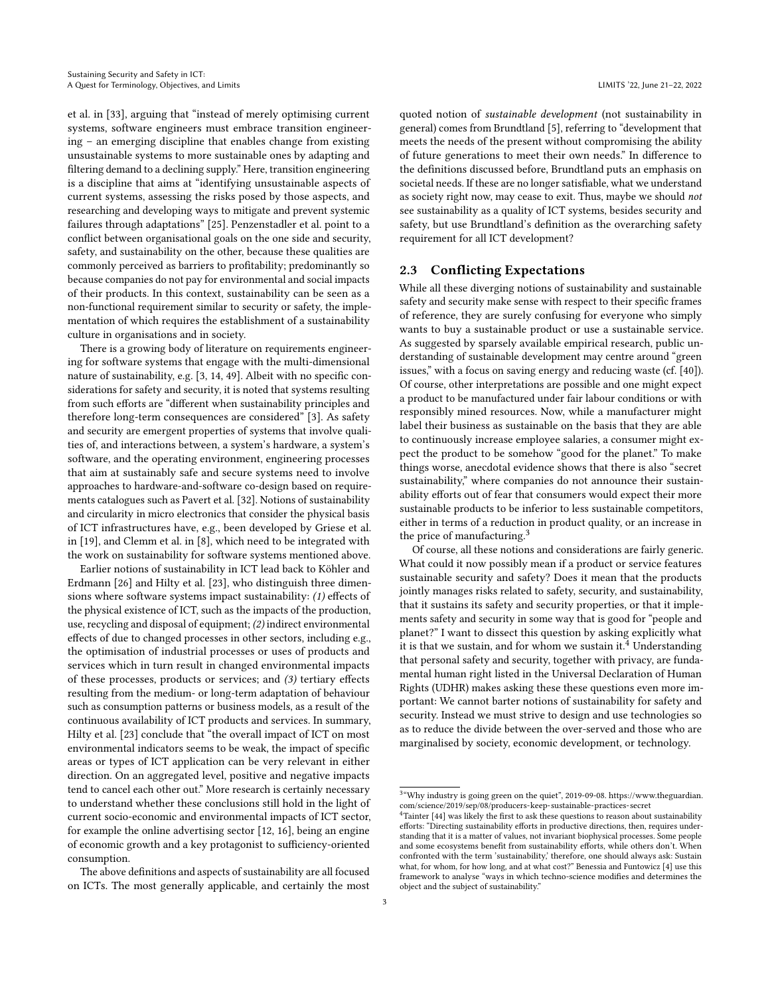et al. in [\[33\]](#page-7-10), arguing that "instead of merely optimising current systems, software engineers must embrace transition engineering – an emerging discipline that enables change from existing unsustainable systems to more sustainable ones by adapting and filtering demand to a declining supply." Here, transition engineering is a discipline that aims at "identifying unsustainable aspects of current systems, assessing the risks posed by those aspects, and researching and developing ways to mitigate and prevent systemic failures through adaptations" [\[25\]](#page-7-11). Penzenstadler et al. point to a conflict between organisational goals on the one side and security, safety, and sustainability on the other, because these qualities are commonly perceived as barriers to profitability; predominantly so because companies do not pay for environmental and social impacts of their products. In this context, sustainability can be seen as a non-functional requirement similar to security or safety, the implementation of which requires the establishment of a sustainability culture in organisations and in society.

There is a growing body of literature on requirements engineering for software systems that engage with the multi-dimensional nature of sustainability, e.g. [\[3,](#page-7-12) [14,](#page-7-13) [49\]](#page-8-0). Albeit with no specific considerations for safety and security, it is noted that systems resulting from such efforts are "different when sustainability principles and therefore long-term consequences are considered" [\[3\]](#page-7-12). As safety and security are emergent properties of systems that involve qualities of, and interactions between, a system's hardware, a system's software, and the operating environment, engineering processes that aim at sustainably safe and secure systems need to involve approaches to hardware-and-software co-design based on requirements catalogues such as Pavert et al. [\[32\]](#page-7-3). Notions of sustainability and circularity in micro electronics that consider the physical basis of ICT infrastructures have, e.g., been developed by Griese et al. in [\[19\]](#page-7-14), and Clemm et al. in [\[8\]](#page-7-15), which need to be integrated with the work on sustainability for software systems mentioned above.

Earlier notions of sustainability in ICT lead back to Köhler and Erdmann [\[26\]](#page-7-16) and Hilty et al. [\[23\]](#page-7-17), who distinguish three dimensions where software systems impact sustainability: (1) effects of the physical existence of ICT, such as the impacts of the production, use, recycling and disposal of equipment; (2) indirect environmental effects of due to changed processes in other sectors, including e.g., the optimisation of industrial processes or uses of products and services which in turn result in changed environmental impacts of these processes, products or services; and (3) tertiary effects resulting from the medium- or long-term adaptation of behaviour such as consumption patterns or business models, as a result of the continuous availability of ICT products and services. In summary, Hilty et al. [\[23\]](#page-7-17) conclude that "the overall impact of ICT on most environmental indicators seems to be weak, the impact of specific areas or types of ICT application can be very relevant in either direction. On an aggregated level, positive and negative impacts tend to cancel each other out." More research is certainly necessary to understand whether these conclusions still hold in the light of current socio-economic and environmental impacts of ICT sector, for example the online advertising sector [\[12,](#page-7-18) [16\]](#page-7-19), being an engine of economic growth and a key protagonist to sufficiency-oriented consumption.

The above definitions and aspects of sustainability are all focused on ICTs. The most generally applicable, and certainly the most quoted notion of sustainable development (not sustainability in general) comes from Brundtland [\[5\]](#page-7-20), referring to "development that meets the needs of the present without compromising the ability of future generations to meet their own needs." In difference to the definitions discussed before, Brundtland puts an emphasis on societal needs. If these are no longer satisfiable, what we understand as society right now, may cease to exit. Thus, maybe we should not see sustainability as a quality of ICT systems, besides security and safety, but use Brundtland's definition as the overarching safety requirement for all ICT development?

## 2.3 Conflicting Expectations

While all these diverging notions of sustainability and sustainable safety and security make sense with respect to their specific frames of reference, they are surely confusing for everyone who simply wants to buy a sustainable product or use a sustainable service. As suggested by sparsely available empirical research, public understanding of sustainable development may centre around "green issues," with a focus on saving energy and reducing waste (cf. [\[40\]](#page-8-1)). Of course, other interpretations are possible and one might expect a product to be manufactured under fair labour conditions or with responsibly mined resources. Now, while a manufacturer might label their business as sustainable on the basis that they are able to continuously increase employee salaries, a consumer might expect the product to be somehow "good for the planet." To make things worse, anecdotal evidence shows that there is also "secret sustainability," where companies do not announce their sustainability efforts out of fear that consumers would expect their more sustainable products to be inferior to less sustainable competitors, either in terms of a reduction in product quality, or an increase in the price of manufacturing.[3](#page-2-0)

Of course, all these notions and considerations are fairly generic. What could it now possibly mean if a product or service features sustainable security and safety? Does it mean that the products jointly manages risks related to safety, security, and sustainability, that it sustains its safety and security properties, or that it implements safety and security in some way that is good for "people and planet?" I want to dissect this question by asking explicitly what it is that we sustain, and for whom we sustain it.<sup>[4](#page-2-1)</sup> Understanding that personal safety and security, together with privacy, are fundamental human right listed in the Universal Declaration of Human Rights (UDHR) makes asking these these questions even more important: We cannot barter notions of sustainability for safety and security. Instead we must strive to design and use technologies so as to reduce the divide between the over-served and those who are marginalised by society, economic development, or technology.

<span id="page-2-0"></span><sup>&</sup>lt;sup>3</sup>"Why industry is going green on the quiet", 2019-09-08. [https://www.theguardian.](https://www.theguardian.com/science/2019/sep/08/producers-keep-sustainable-practices-secret) [com/science/2019/sep/08/producers-keep-sustainable-practices-secret](https://www.theguardian.com/science/2019/sep/08/producers-keep-sustainable-practices-secret)

<span id="page-2-1"></span><sup>&</sup>lt;sup>4</sup>Tainter [\[44\]](#page-8-2) was likely the first to ask these questions to reason about sustainability efforts: "Directing sustainability efforts in productive directions, then, requires understanding that it is a matter of values, not invariant biophysical processes. Some people and some ecosystems benefit from sustainability efforts, while others don't. When confronted with the term 'sustainability,' therefore, one should always ask: Sustain what, for whom, for how long, and at what cost?" Benessia and Funtowicz [\[4\]](#page-7-21) use this framework to analyse "ways in which techno-science modifies and determines the object and the subject of sustainability."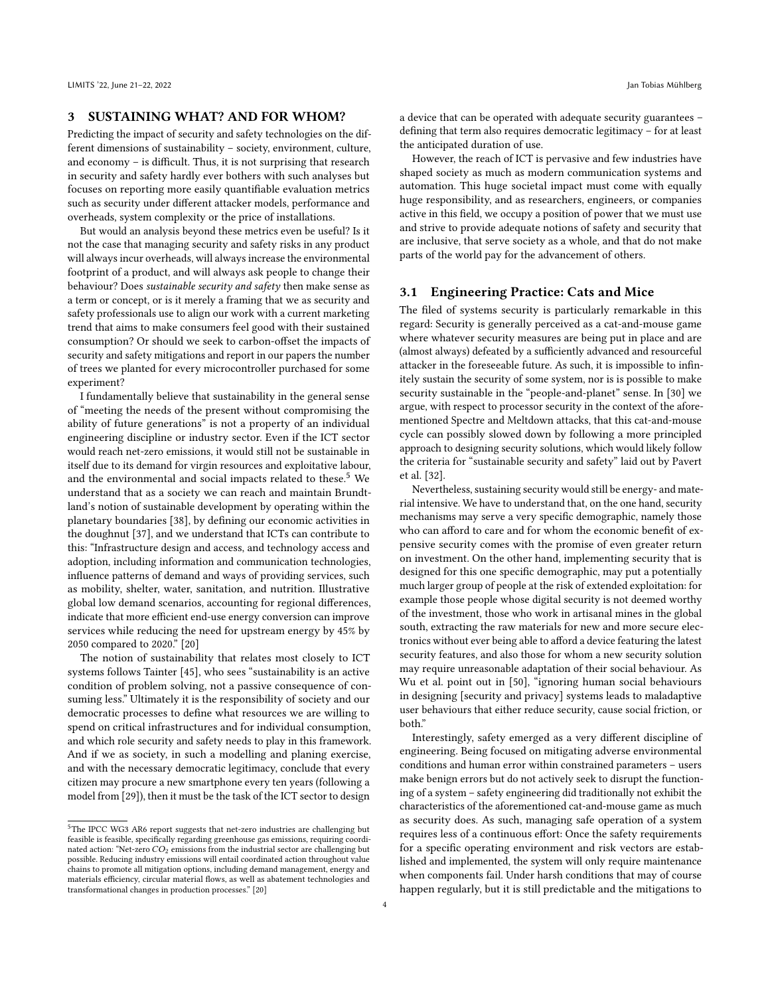## 3 SUSTAINING WHAT? AND FOR WHOM?

Predicting the impact of security and safety technologies on the different dimensions of sustainability – society, environment, culture, and economy – is difficult. Thus, it is not surprising that research in security and safety hardly ever bothers with such analyses but focuses on reporting more easily quantifiable evaluation metrics such as security under different attacker models, performance and overheads, system complexity or the price of installations.

But would an analysis beyond these metrics even be useful? Is it not the case that managing security and safety risks in any product will always incur overheads, will always increase the environmental footprint of a product, and will always ask people to change their behaviour? Does sustainable security and safety then make sense as a term or concept, or is it merely a framing that we as security and safety professionals use to align our work with a current marketing trend that aims to make consumers feel good with their sustained consumption? Or should we seek to carbon-offset the impacts of security and safety mitigations and report in our papers the number of trees we planted for every microcontroller purchased for some experiment?

I fundamentally believe that sustainability in the general sense of "meeting the needs of the present without compromising the ability of future generations" is not a property of an individual engineering discipline or industry sector. Even if the ICT sector would reach net-zero emissions, it would still not be sustainable in itself due to its demand for virgin resources and exploitative labour, and the environmental and social impacts related to these.<sup>[5](#page-3-0)</sup> We understand that as a society we can reach and maintain Brundtland's notion of sustainable development by operating within the planetary boundaries [\[38\]](#page-8-3), by defining our economic activities in the doughnut [\[37\]](#page-8-4), and we understand that ICTs can contribute to this: "Infrastructure design and access, and technology access and adoption, including information and communication technologies, influence patterns of demand and ways of providing services, such as mobility, shelter, water, sanitation, and nutrition. Illustrative global low demand scenarios, accounting for regional differences, indicate that more efficient end-use energy conversion can improve services while reducing the need for upstream energy by 45% by 2050 compared to 2020." [\[20\]](#page-7-22)

The notion of sustainability that relates most closely to ICT systems follows Tainter [\[45\]](#page-8-5), who sees "sustainability is an active condition of problem solving, not a passive consequence of consuming less." Ultimately it is the responsibility of society and our democratic processes to define what resources we are willing to spend on critical infrastructures and for individual consumption, and which role security and safety needs to play in this framework. And if we as society, in such a modelling and planing exercise, and with the necessary democratic legitimacy, conclude that every citizen may procure a new smartphone every ten years (following a model from [\[29\]](#page-7-23)), then it must be the task of the ICT sector to design

a device that can be operated with adequate security guarantees – defining that term also requires democratic legitimacy – for at least the anticipated duration of use.

However, the reach of ICT is pervasive and few industries have shaped society as much as modern communication systems and automation. This huge societal impact must come with equally huge responsibility, and as researchers, engineers, or companies active in this field, we occupy a position of power that we must use and strive to provide adequate notions of safety and security that are inclusive, that serve society as a whole, and that do not make parts of the world pay for the advancement of others.

#### 3.1 Engineering Practice: Cats and Mice

The filed of systems security is particularly remarkable in this regard: Security is generally perceived as a cat-and-mouse game where whatever security measures are being put in place and are (almost always) defeated by a sufficiently advanced and resourceful attacker in the foreseeable future. As such, it is impossible to infinitely sustain the security of some system, nor is is possible to make security sustainable in the "people-and-planet" sense. In [\[30\]](#page-7-24) we argue, with respect to processor security in the context of the aforementioned Spectre and Meltdown attacks, that this cat-and-mouse cycle can possibly slowed down by following a more principled approach to designing security solutions, which would likely follow the criteria for "sustainable security and safety" laid out by Pavert et al. [\[32\]](#page-7-3).

Nevertheless, sustaining security would still be energy- and material intensive. We have to understand that, on the one hand, security mechanisms may serve a very specific demographic, namely those who can afford to care and for whom the economic benefit of expensive security comes with the promise of even greater return on investment. On the other hand, implementing security that is designed for this one specific demographic, may put a potentially much larger group of people at the risk of extended exploitation: for example those people whose digital security is not deemed worthy of the investment, those who work in artisanal mines in the global south, extracting the raw materials for new and more secure electronics without ever being able to afford a device featuring the latest security features, and also those for whom a new security solution may require unreasonable adaptation of their social behaviour. As Wu et al. point out in [\[50\]](#page-8-6), "ignoring human social behaviours in designing [security and privacy] systems leads to maladaptive user behaviours that either reduce security, cause social friction, or both."

Interestingly, safety emerged as a very different discipline of engineering. Being focused on mitigating adverse environmental conditions and human error within constrained parameters – users make benign errors but do not actively seek to disrupt the functioning of a system – safety engineering did traditionally not exhibit the characteristics of the aforementioned cat-and-mouse game as much as security does. As such, managing safe operation of a system requires less of a continuous effort: Once the safety requirements for a specific operating environment and risk vectors are established and implemented, the system will only require maintenance when components fail. Under harsh conditions that may of course happen regularly, but it is still predictable and the mitigations to

<span id="page-3-0"></span><sup>5</sup>The IPCC WG3 AR6 report suggests that net-zero industries are challenging but feasible is feasible, specifically regarding greenhouse gas emissions, requiring coordinated action: "Net-zero  $CO<sub>2</sub>$  emissions from the industrial sector are challenging but possible. Reducing industry emissions will entail coordinated action throughout value chains to promote all mitigation options, including demand management, energy and materials efficiency, circular material flows, as well as abatement technologies and transformational changes in production processes." [\[20\]](#page-7-22)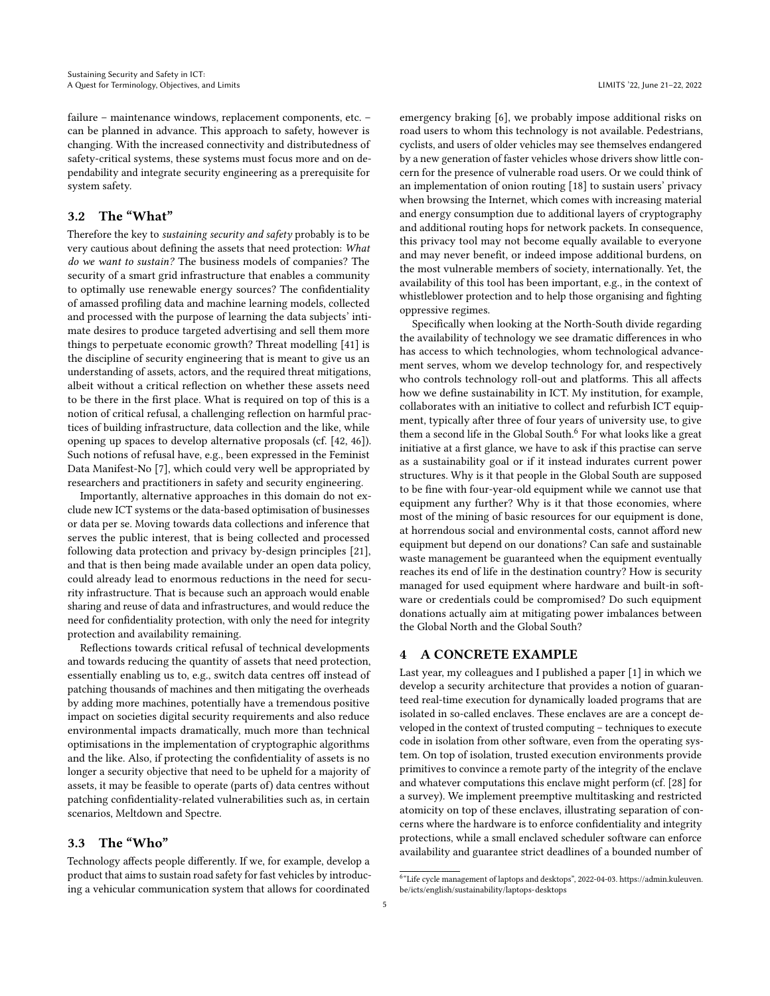failure – maintenance windows, replacement components, etc. – can be planned in advance. This approach to safety, however is changing. With the increased connectivity and distributedness of safety-critical systems, these systems must focus more and on dependability and integrate security engineering as a prerequisite for system safety.

## 3.2 The "What"

Therefore the key to sustaining security and safety probably is to be very cautious about defining the assets that need protection: What do we want to sustain? The business models of companies? The security of a smart grid infrastructure that enables a community to optimally use renewable energy sources? The confidentiality of amassed profiling data and machine learning models, collected and processed with the purpose of learning the data subjects' intimate desires to produce targeted advertising and sell them more things to perpetuate economic growth? Threat modelling [\[41\]](#page-8-7) is the discipline of security engineering that is meant to give us an understanding of assets, actors, and the required threat mitigations, albeit without a critical reflection on whether these assets need to be there in the first place. What is required on top of this is a notion of critical refusal, a challenging reflection on harmful practices of building infrastructure, data collection and the like, while opening up spaces to develop alternative proposals (cf. [\[42,](#page-8-8) [46\]](#page-8-9)). Such notions of refusal have, e.g., been expressed in the Feminist Data Manifest-No [\[7\]](#page-7-25), which could very well be appropriated by researchers and practitioners in safety and security engineering.

Importantly, alternative approaches in this domain do not exclude new ICT systems or the data-based optimisation of businesses or data per se. Moving towards data collections and inference that serves the public interest, that is being collected and processed following data protection and privacy by-design principles [\[21\]](#page-7-26), and that is then being made available under an open data policy, could already lead to enormous reductions in the need for security infrastructure. That is because such an approach would enable sharing and reuse of data and infrastructures, and would reduce the need for confidentiality protection, with only the need for integrity protection and availability remaining.

Reflections towards critical refusal of technical developments and towards reducing the quantity of assets that need protection, essentially enabling us to, e.g., switch data centres off instead of patching thousands of machines and then mitigating the overheads by adding more machines, potentially have a tremendous positive impact on societies digital security requirements and also reduce environmental impacts dramatically, much more than technical optimisations in the implementation of cryptographic algorithms and the like. Also, if protecting the confidentiality of assets is no longer a security objective that need to be upheld for a majority of assets, it may be feasible to operate (parts of) data centres without patching confidentiality-related vulnerabilities such as, in certain scenarios, Meltdown and Spectre.

## 3.3 The "Who"

Technology affects people differently. If we, for example, develop a product that aims to sustain road safety for fast vehicles by introducing a vehicular communication system that allows for coordinated

emergency braking [\[6\]](#page-7-27), we probably impose additional risks on road users to whom this technology is not available. Pedestrians, cyclists, and users of older vehicles may see themselves endangered by a new generation of faster vehicles whose drivers show little concern for the presence of vulnerable road users. Or we could think of an implementation of onion routing [\[18\]](#page-7-28) to sustain users' privacy when browsing the Internet, which comes with increasing material and energy consumption due to additional layers of cryptography and additional routing hops for network packets. In consequence, this privacy tool may not become equally available to everyone and may never benefit, or indeed impose additional burdens, on the most vulnerable members of society, internationally. Yet, the availability of this tool has been important, e.g., in the context of whistleblower protection and to help those organising and fighting oppressive regimes.

Specifically when looking at the North-South divide regarding the availability of technology we see dramatic differences in who has access to which technologies, whom technological advancement serves, whom we develop technology for, and respectively who controls technology roll-out and platforms. This all affects how we define sustainability in ICT. My institution, for example, collaborates with an initiative to collect and refurbish ICT equipment, typically after three of four years of university use, to give them a second life in the Global South.<sup>[6](#page-4-0)</sup> For what looks like a great initiative at a first glance, we have to ask if this practise can serve as a sustainability goal or if it instead indurates current power structures. Why is it that people in the Global South are supposed to be fine with four-year-old equipment while we cannot use that equipment any further? Why is it that those economies, where most of the mining of basic resources for our equipment is done, at horrendous social and environmental costs, cannot afford new equipment but depend on our donations? Can safe and sustainable waste management be guaranteed when the equipment eventually reaches its end of life in the destination country? How is security managed for used equipment where hardware and built-in software or credentials could be compromised? Do such equipment donations actually aim at mitigating power imbalances between the Global North and the Global South?

### 4 A CONCRETE EXAMPLE

Last year, my colleagues and I published a paper [\[1\]](#page-7-29) in which we develop a security architecture that provides a notion of guaranteed real-time execution for dynamically loaded programs that are isolated in so-called enclaves. These enclaves are are a concept developed in the context of trusted computing – techniques to execute code in isolation from other software, even from the operating system. On top of isolation, trusted execution environments provide primitives to convince a remote party of the integrity of the enclave and whatever computations this enclave might perform (cf. [\[28\]](#page-7-30) for a survey). We implement preemptive multitasking and restricted atomicity on top of these enclaves, illustrating separation of concerns where the hardware is to enforce confidentiality and integrity protections, while a small enclaved scheduler software can enforce availability and guarantee strict deadlines of a bounded number of

<span id="page-4-0"></span><sup>6</sup> "Life cycle management of laptops and desktops", 2022-04-03. [https://admin.kuleuven.](https://admin.kuleuven.be/icts/english/sustainability/laptops-desktops) [be/icts/english/sustainability/laptops-desktops](https://admin.kuleuven.be/icts/english/sustainability/laptops-desktops)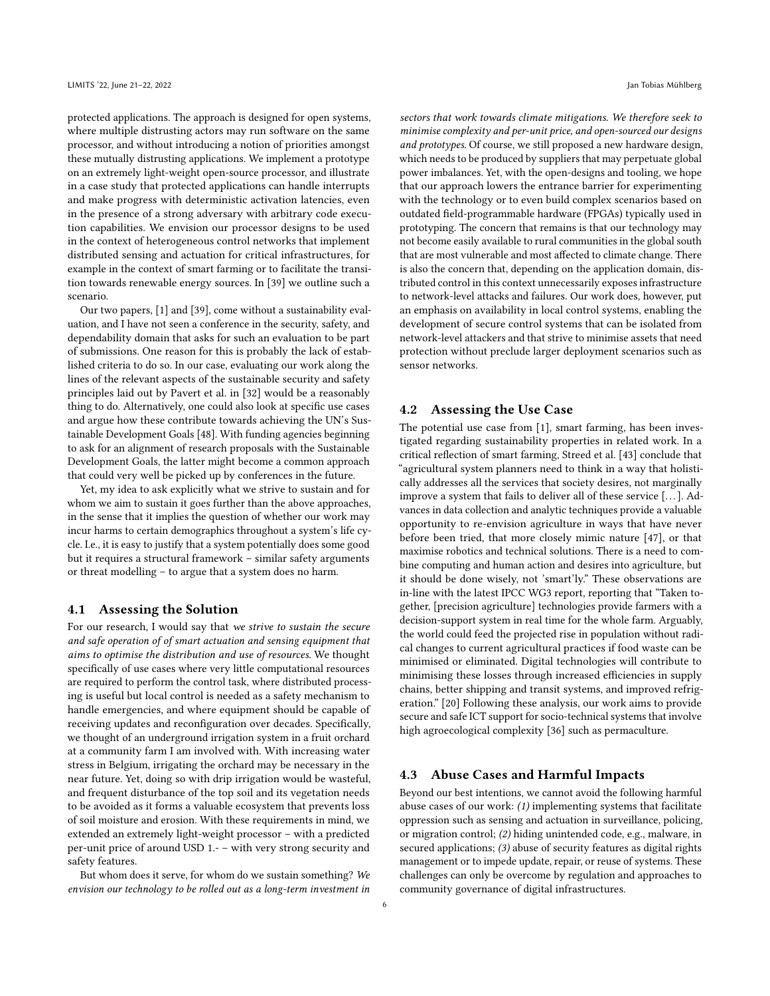protected applications. The approach is designed for open systems, where multiple distrusting actors may run software on the same processor, and without introducing a notion of priorities amongst these mutually distrusting applications. We implement a prototype on an extremely light-weight open-source processor, and illustrate in a case study that protected applications can handle interrupts and make progress with deterministic activation latencies, even in the presence of a strong adversary with arbitrary code execution capabilities. We envision our processor designs to be used in the context of heterogeneous control networks that implement distributed sensing and actuation for critical infrastructures, for example in the context of smart farming or to facilitate the transition towards renewable energy sources. In [\[39\]](#page-8-10) we outline such a scenario.

Our two papers, [\[1\]](#page-7-29) and [\[39\]](#page-8-10), come without a sustainability evaluation, and I have not seen a conference in the security, safety, and dependability domain that asks for such an evaluation to be part of submissions. One reason for this is probably the lack of established criteria to do so. In our case, evaluating our work along the lines of the relevant aspects of the sustainable security and safety principles laid out by Pavert et al. in [\[32\]](#page-7-3) would be a reasonably thing to do. Alternatively, one could also look at specific use cases and argue how these contribute towards achieving the UN's Sustainable Development Goals [\[48\]](#page-8-11). With funding agencies beginning to ask for an alignment of research proposals with the Sustainable Development Goals, the latter might become a common approach that could very well be picked up by conferences in the future.

Yet, my idea to ask explicitly what we strive to sustain and for whom we aim to sustain it goes further than the above approaches, in the sense that it implies the question of whether our work may incur harms to certain demographics throughout a system's life cycle. I.e., it is easy to justify that a system potentially does some good but it requires a structural framework – similar safety arguments or threat modelling – to argue that a system does no harm.

## 4.1 Assessing the Solution

For our research, I would say that we strive to sustain the secure and safe operation of of smart actuation and sensing equipment that aims to optimise the distribution and use of resources. We thought specifically of use cases where very little computational resources are required to perform the control task, where distributed processing is useful but local control is needed as a safety mechanism to handle emergencies, and where equipment should be capable of receiving updates and reconfiguration over decades. Specifically, we thought of an underground irrigation system in a fruit orchard at a community farm I am involved with. With increasing water stress in Belgium, irrigating the orchard may be necessary in the near future. Yet, doing so with drip irrigation would be wasteful, and frequent disturbance of the top soil and its vegetation needs to be avoided as it forms a valuable ecosystem that prevents loss of soil moisture and erosion. With these requirements in mind, we extended an extremely light-weight processor – with a predicted per-unit price of around USD 1.- – with very strong security and safety features.

But whom does it serve, for whom do we sustain something? We envision our technology to be rolled out as a long-term investment in

sectors that work towards climate mitigations. We therefore seek to minimise complexity and per-unit price, and open-sourced our designs and prototypes. Of course, we still proposed a new hardware design, which needs to be produced by suppliers that may perpetuate global power imbalances. Yet, with the open-designs and tooling, we hope that our approach lowers the entrance barrier for experimenting with the technology or to even build complex scenarios based on outdated field-programmable hardware (FPGAs) typically used in prototyping. The concern that remains is that our technology may not become easily available to rural communities in the global south that are most vulnerable and most affected to climate change. There is also the concern that, depending on the application domain, distributed control in this context unnecessarily exposes infrastructure to network-level attacks and failures. Our work does, however, put an emphasis on availability in local control systems, enabling the development of secure control systems that can be isolated from network-level attackers and that strive to minimise assets that need protection without preclude larger deployment scenarios such as sensor networks.

#### 4.2 Assessing the Use Case

The potential use case from [\[1\]](#page-7-29), smart farming, has been investigated regarding sustainability properties in related work. In a critical reflection of smart farming, Streed et al. [\[43\]](#page-8-12) conclude that "agricultural system planners need to think in a way that holistically addresses all the services that society desires, not marginally improve a system that fails to deliver all of these service [...]. Advances in data collection and analytic techniques provide a valuable opportunity to re-envision agriculture in ways that have never before been tried, that more closely mimic nature [\[47\]](#page-8-13), or that maximise robotics and technical solutions. There is a need to combine computing and human action and desires into agriculture, but it should be done wisely, not 'smart'ly." These observations are in-line with the latest IPCC WG3 report, reporting that "Taken together, [precision agriculture] technologies provide farmers with a decision-support system in real time for the whole farm. Arguably, the world could feed the projected rise in population without radical changes to current agricultural practices if food waste can be minimised or eliminated. Digital technologies will contribute to minimising these losses through increased efficiencies in supply chains, better shipping and transit systems, and improved refrigeration." [\[20\]](#page-7-22) Following these analysis, our work aims to provide secure and safe ICT support for socio-technical systems that involve high agroecological complexity [\[36\]](#page-8-14) such as permaculture.

## 4.3 Abuse Cases and Harmful Impacts

Beyond our best intentions, we cannot avoid the following harmful abuse cases of our work: (1) implementing systems that facilitate oppression such as sensing and actuation in surveillance, policing, or migration control; (2) hiding unintended code, e.g., malware, in secured applications; (3) abuse of security features as digital rights management or to impede update, repair, or reuse of systems. These challenges can only be overcome by regulation and approaches to community governance of digital infrastructures.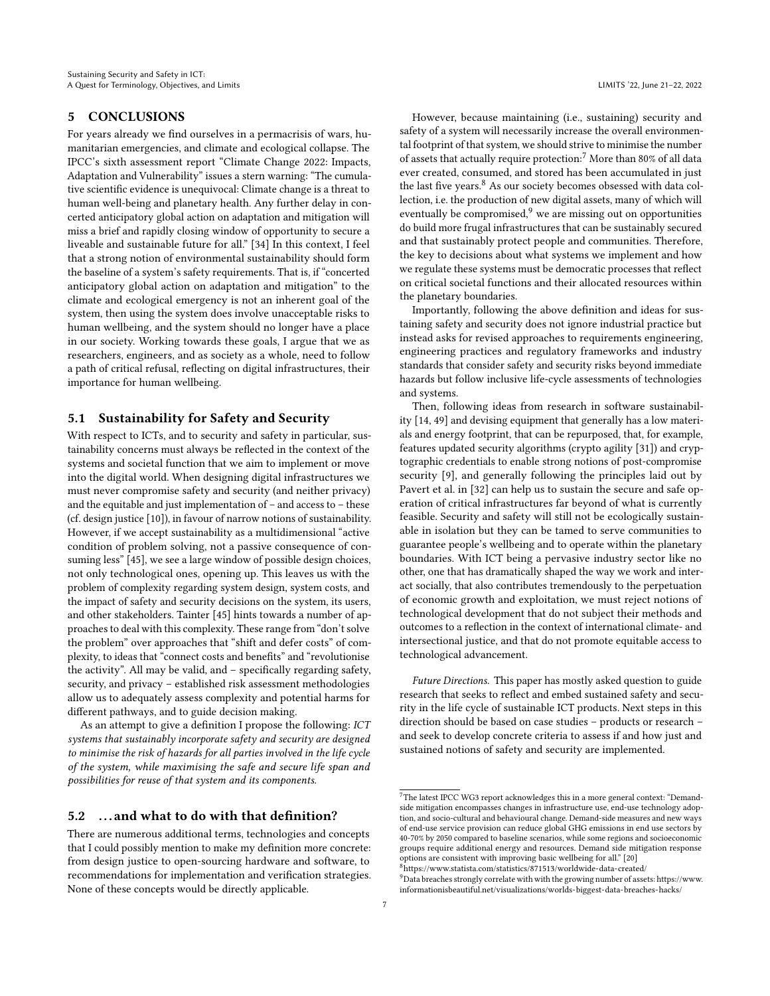## 5 CONCLUSIONS

For years already we find ourselves in a permacrisis of wars, humanitarian emergencies, and climate and ecological collapse. The IPCC's sixth assessment report "Climate Change 2022: Impacts, Adaptation and Vulnerability" issues a stern warning: "The cumulative scientific evidence is unequivocal: Climate change is a threat to human well-being and planetary health. Any further delay in concerted anticipatory global action on adaptation and mitigation will miss a brief and rapidly closing window of opportunity to secure a liveable and sustainable future for all." [\[34\]](#page-7-31) In this context, I feel that a strong notion of environmental sustainability should form the baseline of a system's safety requirements. That is, if "concerted anticipatory global action on adaptation and mitigation" to the climate and ecological emergency is not an inherent goal of the system, then using the system does involve unacceptable risks to human wellbeing, and the system should no longer have a place in our society. Working towards these goals, I argue that we as researchers, engineers, and as society as a whole, need to follow a path of critical refusal, reflecting on digital infrastructures, their importance for human wellbeing.

## 5.1 Sustainability for Safety and Security

With respect to ICTs, and to security and safety in particular, sustainability concerns must always be reflected in the context of the systems and societal function that we aim to implement or move into the digital world. When designing digital infrastructures we must never compromise safety and security (and neither privacy) and the equitable and just implementation of – and access to – these (cf. design justice [\[10\]](#page-7-32)), in favour of narrow notions of sustainability. However, if we accept sustainability as a multidimensional "active condition of problem solving, not a passive consequence of consuming less" [\[45\]](#page-8-5), we see a large window of possible design choices, not only technological ones, opening up. This leaves us with the problem of complexity regarding system design, system costs, and the impact of safety and security decisions on the system, its users, and other stakeholders. Tainter [\[45\]](#page-8-5) hints towards a number of approaches to deal with this complexity. These range from "don't solve the problem" over approaches that "shift and defer costs" of complexity, to ideas that "connect costs and benefits" and "revolutionise the activity". All may be valid, and – specifically regarding safety, security, and privacy – established risk assessment methodologies allow us to adequately assess complexity and potential harms for different pathways, and to guide decision making.

As an attempt to give a definition I propose the following: ICT systems that sustainably incorporate safety and security are designed to minimise the risk of hazards for all parties involved in the life cycle of the system, while maximising the safe and secure life span and possibilities for reuse of that system and its components.

## 5.2 . . . and what to do with that definition?

There are numerous additional terms, technologies and concepts that I could possibly mention to make my definition more concrete: from design justice to open-sourcing hardware and software, to recommendations for implementation and verification strategies. None of these concepts would be directly applicable.

However, because maintaining (i.e., sustaining) security and safety of a system will necessarily increase the overall environmental footprint of that system, we should strive to minimise the number of assets that actually require protection:<sup>[7](#page-6-0)</sup> More than 80% of all data ever created, consumed, and stored has been accumulated in just the last five years.<sup>[8](#page-6-1)</sup> As our society becomes obsessed with data collection, i.e. the production of new digital assets, many of which will eventually be compromised, $9$  we are missing out on opportunities do build more frugal infrastructures that can be sustainably secured and that sustainably protect people and communities. Therefore, the key to decisions about what systems we implement and how we regulate these systems must be democratic processes that reflect on critical societal functions and their allocated resources within the planetary boundaries.

Importantly, following the above definition and ideas for sustaining safety and security does not ignore industrial practice but instead asks for revised approaches to requirements engineering, engineering practices and regulatory frameworks and industry standards that consider safety and security risks beyond immediate hazards but follow inclusive life-cycle assessments of technologies and systems.

Then, following ideas from research in software sustainability [\[14,](#page-7-13) [49\]](#page-8-0) and devising equipment that generally has a low materials and energy footprint, that can be repurposed, that, for example, features updated security algorithms (crypto agility [\[31\]](#page-7-33)) and cryptographic credentials to enable strong notions of post-compromise security [\[9\]](#page-7-34), and generally following the principles laid out by Pavert et al. in [\[32\]](#page-7-3) can help us to sustain the secure and safe operation of critical infrastructures far beyond of what is currently feasible. Security and safety will still not be ecologically sustainable in isolation but they can be tamed to serve communities to guarantee people's wellbeing and to operate within the planetary boundaries. With ICT being a pervasive industry sector like no other, one that has dramatically shaped the way we work and interact socially, that also contributes tremendously to the perpetuation of economic growth and exploitation, we must reject notions of technological development that do not subject their methods and outcomes to a reflection in the context of international climate- and intersectional justice, and that do not promote equitable access to technological advancement.

Future Directions. This paper has mostly asked question to guide research that seeks to reflect and embed sustained safety and security in the life cycle of sustainable ICT products. Next steps in this direction should be based on case studies – products or research – and seek to develop concrete criteria to assess if and how just and sustained notions of safety and security are implemented.

<span id="page-6-2"></span><span id="page-6-1"></span> $^{9}$  Data breaches strongly correlate with with the growing number of assets[: https://www.](https://www.informationisbeautiful.net/visualizations/worlds-biggest-data-breaches-hacks/) [informationisbeautiful.net/visualizations/worlds-biggest-data-breaches-hacks/](https://www.informationisbeautiful.net/visualizations/worlds-biggest-data-breaches-hacks/)

<span id="page-6-0"></span> $^7$  The latest IPCC WG3 report acknowledges this in a more general context: "Demandside mitigation encompasses changes in infrastructure use, end-use technology adoption, and socio-cultural and behavioural change. Demand-side measures and new ways of end-use service provision can reduce global GHG emissions in end use sectors by 40-70% by 2050 compared to baseline scenarios, while some regions and socioeconomic groups require additional energy and resources. Demand side mitigation response options are consistent with improving basic wellbeing for all." [\[20\]](#page-7-22)  $8$ <https://www.statista.com/statistics/871513/worldwide-data-created/>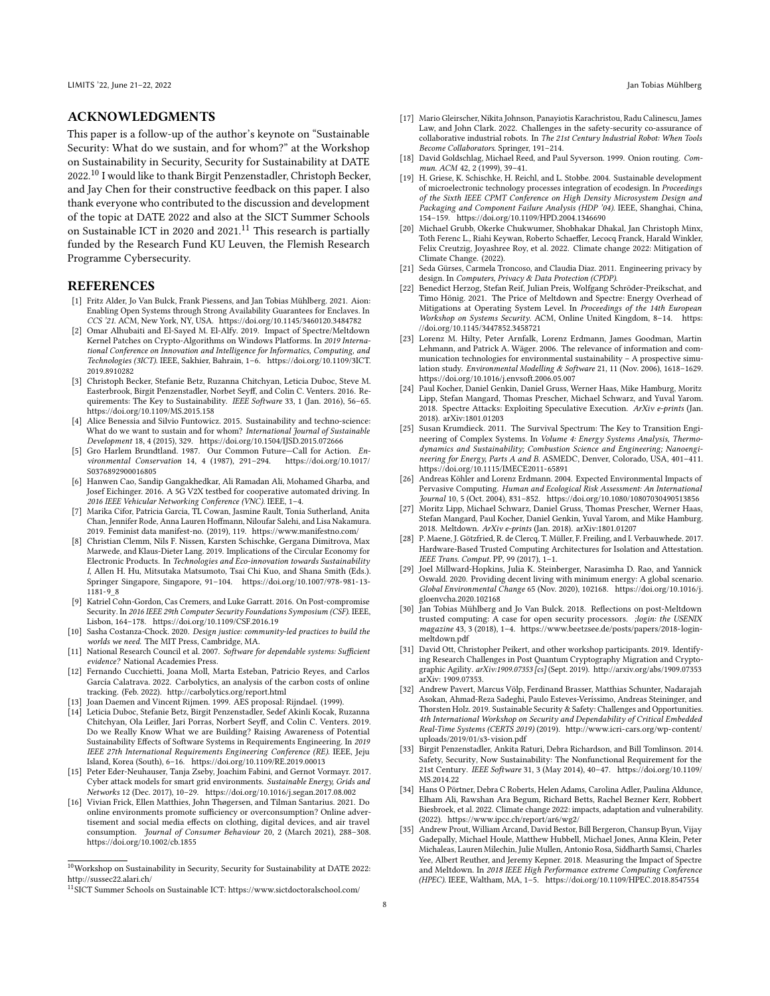#### ACKNOWLEDGMENTS

This paper is a follow-up of the author's keynote on "Sustainable Security: What do we sustain, and for whom?" at the Workshop on Sustainability in Security, Security for Sustainability at DATE 2022.[10](#page-7-35) I would like to thank Birgit Penzenstadler, Christoph Becker, and Jay Chen for their constructive feedback on this paper. I also thank everyone who contributed to the discussion and development of the topic at DATE 2022 and also at the SICT Summer Schools on Sustainable ICT in 2020 and 2021.<sup>[11](#page-7-36)</sup> This research is partially funded by the Research Fund KU Leuven, the Flemish Research Programme Cybersecurity.

#### REFERENCES

- <span id="page-7-29"></span>[1] Fritz Alder, Jo Van Bulck, Frank Piessens, and Jan Tobias Mühlberg. 2021. Aion: Enabling Open Systems through Strong Availability Guarantees for Enclaves. In CCS '21. ACM, New York, NY, USA.<https://doi.org/10.1145/3460120.3484782>
- <span id="page-7-7"></span>Omar Alhubaiti and El-Sayed M. El-Alfy. 2019. Impact of Spectre/Meltdown Kernel Patches on Crypto-Algorithms on Windows Platforms. In 2019 International Conference on Innovation and Intelligence for Informatics, Computing, and Technologies (3ICT). IEEE, Sakhier, Bahrain, 1–6. [https://doi.org/10.1109/3ICT.](https://doi.org/10.1109/3ICT.2019.8910282) [2019.8910282](https://doi.org/10.1109/3ICT.2019.8910282)
- <span id="page-7-12"></span>[3] Christoph Becker, Stefanie Betz, Ruzanna Chitchyan, Leticia Duboc, Steve M. Easterbrook, Birgit Penzenstadler, Norbet Seyff, and Colin C. Venters. 2016. Requirements: The Key to Sustainability. IEEE Software 33, 1 (Jan. 2016), 56–65. <https://doi.org/10.1109/MS.2015.158>
- <span id="page-7-21"></span>[4] Alice Benessia and Silvio Funtowicz. 2015. Sustainability and techno-science: What do we want to sustain and for whom? International Journal of Sustainable Development 18, 4 (2015), 329.<https://doi.org/10.1504/IJSD.2015.072666>
- <span id="page-7-20"></span>[5] Gro Harlem Brundtland. 1987. Our Common Future—Call for Action. Environmental Conservation 14, 4 (1987), 291–294. [https://doi.org/10.1017/](https://doi.org/10.1017/S0376892900016805) [S0376892900016805](https://doi.org/10.1017/S0376892900016805)
- <span id="page-7-27"></span>[6] Hanwen Cao, Sandip Gangakhedkar, Ali Ramadan Ali, Mohamed Gharba, and Josef Eichinger. 2016. A 5G V2X testbed for cooperative automated driving. In 2016 IEEE Vehicular Networking Conference (VNC). IEEE, 1–4.
- <span id="page-7-25"></span>[7] Marika Cifor, Patricia Garcia, TL Cowan, Jasmine Rault, Tonia Sutherland, Anita Chan, Jennifer Rode, Anna Lauren Hoffmann, Niloufar Salehi, and Lisa Nakamura. 2019. Feminist data manifest-no. (2019), 119.<https://www.manifestno.com/>
- <span id="page-7-15"></span>[8] Christian Clemm, Nils F. Nissen, Karsten Schischke, Gergana Dimitrova, Max Marwede, and Klaus-Dieter Lang. 2019. Implications of the Circular Economy for Electronic Products. In Technologies and Eco-innovation towards Sustainability I, Allen H. Hu, Mitsutaka Matsumoto, Tsai Chi Kuo, and Shana Smith (Eds.). Springer Singapore, Singapore, 91–104. [https://doi.org/10.1007/978-981-13-](https://doi.org/10.1007/978-981-13-1181-9_8) [1181-9\\_8](https://doi.org/10.1007/978-981-13-1181-9_8)
- <span id="page-7-34"></span>[9] Katriel Cohn-Gordon, Cas Cremers, and Luke Garratt. 2016. On Post-compromise Security. In 2016 IEEE 29th Computer Security Foundations Symposium (CSF). IEEE, Lisbon, 164–178.<https://doi.org/10.1109/CSF.2016.19>
- <span id="page-7-32"></span>[10] Sasha Costanza-Chock. 2020. Design justice: community-led practices to build the worlds we need. The MIT Press, Cambridge, MA.
- <span id="page-7-0"></span>[11] National Research Council et al. 2007. Software for dependable systems: Sufficient evidence? National Academies Press.
- <span id="page-7-18"></span>[12] Fernando Cucchietti, Joana Moll, Marta Esteban, Patricio Reyes, and Carlos García Calatrava. 2022. Carbolytics, an analysis of the carbon costs of online tracking. (Feb. 2022).<http://carbolytics.org/report.html>
- <span id="page-7-4"></span>[13] Joan Daemen and Vincent Rijmen. 1999. AES proposal: Rijndael. (1999).
- <span id="page-7-13"></span>[14] Leticia Duboc, Stefanie Betz, Birgit Penzenstadler, Sedef Akinli Kocak, Ruzanna Chitchyan, Ola Leifler, Jari Porras, Norbert Seyff, and Colin C. Venters. 2019. Do we Really Know What we are Building? Raising Awareness of Potential Sustainability Effects of Software Systems in Requirements Engineering. In 2019 IEEE 27th International Requirements Engineering Conference (RE). IEEE, Jeju Island, Korea (South), 6–16.<https://doi.org/10.1109/RE.2019.00013>
- <span id="page-7-2"></span>[15] Peter Eder-Neuhauser, Tanja Zseby, Joachim Fabini, and Gernot Vormayr. 2017. Cyber attack models for smart grid environments. Sustainable Energy, Grids and Networks 12 (Dec. 2017), 10–29.<https://doi.org/10.1016/j.segan.2017.08.002>
- <span id="page-7-19"></span>[16] Vivian Frick, Ellen Matthies, John Thøgersen, and Tilman Santarius. 2021. Do online environments promote sufficiency or overconsumption? Online advertisement and social media effects on clothing, digital devices, and air travel consumption. Journal of Consumer Behaviour 20, 2 (March 2021), 288–308. <https://doi.org/10.1002/cb.1855>
- <span id="page-7-1"></span>[17] Mario Gleirscher, Nikita Johnson, Panayiotis Karachristou, Radu Calinescu, James Law, and John Clark. 2022. Challenges in the safety-security co-assurance of collaborative industrial robots. In The 21st Century Industrial Robot: When Tools Become Collaborators. Springer, 191–214.
- <span id="page-7-28"></span>[18] David Goldschlag, Michael Reed, and Paul Syverson. 1999. Onion routing. Commun. ACM 42, 2 (1999), 39–41.
- <span id="page-7-14"></span>[19] H. Griese, K. Schischke, H. Reichl, and L. Stobbe. 2004. Sustainable development of microelectronic technology processes integration of ecodesign. In Proceedings of the Sixth IEEE CPMT Conference on High Density Microsystem Design and Packaging and Component Failure Analysis (HDP '04). IEEE, Shanghai, China, 154–159.<https://doi.org/10.1109/HPD.2004.1346690>
- <span id="page-7-22"></span>[20] Michael Grubb, Okerke Chukwumer, Shobhakar Dhakal, Jan Christoph Minx, Toth Ferenc L., Riahi Keywan, Roberto Schaeffer, Lecocq Franck, Harald Winkler, Felix Creutzig, Joyashree Roy, et al. 2022. Climate change 2022: Mitigation of Climate Change. (2022).
- <span id="page-7-26"></span>[21] Seda Gürses, Carmela Troncoso, and Claudia Diaz. 2011. Engineering privacy by design. In Computers, Privacy & Data Protection (CPDP).
- <span id="page-7-8"></span>[22] Benedict Herzog, Stefan Reif, Julian Preis, Wolfgang Schröder-Preikschat, and Timo Hönig. 2021. The Price of Meltdown and Spectre: Energy Overhead of Mitigations at Operating System Level. In Proceedings of the 14th European Workshop on Systems Security. ACM, Online United Kingdom, 8–14. [https:](https://doi.org/10.1145/3447852.3458721) [//doi.org/10.1145/3447852.3458721](https://doi.org/10.1145/3447852.3458721)
- <span id="page-7-17"></span>[23] Lorenz M. Hilty, Peter Arnfalk, Lorenz Erdmann, James Goodman, Martin Lehmann, and Patrick A. Wäger. 2006. The relevance of information and communication technologies for environmental sustainability – A prospective simulation study. Environmental Modelling & Software 21, 11 (Nov. 2006), 1618–1629. <https://doi.org/10.1016/j.envsoft.2006.05.007>
- <span id="page-7-5"></span>[24] Paul Kocher, Daniel Genkin, Daniel Gruss, Werner Haas, Mike Hamburg, Moritz Lipp, Stefan Mangard, Thomas Prescher, Michael Schwarz, and Yuval Yarom. 2018. Spectre Attacks: Exploiting Speculative Execution. ArXiv e-prints (Jan. 2018). arXiv[:1801.01203](https://arxiv.org/abs/1801.01203)
- <span id="page-7-11"></span>[25] Susan Krumdieck. 2011. The Survival Spectrum: The Key to Transition Engineering of Complex Systems. In Volume 4: Energy Systems Analysis, Thermodynamics and Sustainability; Combustion Science and Engineering; Nanoengineering for Energy, Parts A and B. ASMEDC, Denver, Colorado, USA, 401–411. <https://doi.org/10.1115/IMECE2011-65891>
- <span id="page-7-16"></span>[26] Andreas Köhler and Lorenz Erdmann. 2004. Expected Environmental Impacts of Pervasive Computing. Human and Ecological Risk Assessment: An International Journal 10, 5 (Oct. 2004), 831–852.<https://doi.org/10.1080/10807030490513856>
- <span id="page-7-6"></span>[27] Moritz Lipp, Michael Schwarz, Daniel Gruss, Thomas Prescher, Werner Haas, Stefan Mangard, Paul Kocher, Daniel Genkin, Yuval Yarom, and Mike Hamburg. 2018. Meltdown. ArXiv e-prints (Jan. 2018). arXiv[:1801.01207](https://arxiv.org/abs/1801.01207)
- <span id="page-7-30"></span>[28] P. Maene, J. Götzfried, R. de Clercq, T. Müller, F. Freiling, and I. Verbauwhede. 2017. Hardware-Based Trusted Computing Architectures for Isolation and Attestation. IEEE Trans. Comput. PP, 99 (2017), 1–1.
- <span id="page-7-23"></span>[29] Joel Millward-Hopkins, Julia K. Steinberger, Narasimha D. Rao, and Yannick Oswald. 2020. Providing decent living with minimum energy: A global scenario. Global Environmental Change 65 (Nov. 2020), 102168. [https://doi.org/10.1016/j.](https://doi.org/10.1016/j.gloenvcha.2020.102168) [gloenvcha.2020.102168](https://doi.org/10.1016/j.gloenvcha.2020.102168)
- <span id="page-7-24"></span>[30] Jan Tobias Mühlberg and Jo Van Bulck. 2018. Reflections on post-Meltdown trusted computing: A case for open security processors. ;login: the USENIX magazine 43, 3 (2018), 1–4. [https://www.beetzsee.de/posts/papers/2018-login](https://www.beetzsee.de/posts/papers/2018-login-meltdown.pdf)[meltdown.pdf](https://www.beetzsee.de/posts/papers/2018-login-meltdown.pdf)
- <span id="page-7-33"></span>[31] David Ott, Christopher Peikert, and other workshop participants. 2019. Identifying Research Challenges in Post Quantum Cryptography Migration and Cryptographic Agility. arXiv:1909.07353 [cs] (Sept. 2019).<http://arxiv.org/abs/1909.07353> arXiv: 1909.07353.
- <span id="page-7-3"></span>[32] Andrew Pavert, Marcus Völp, Ferdinand Brasser, Matthias Schunter, Nadarajah Asokan, Ahmad-Reza Sadeghi, Paulo Esteves-Veríssimo, Andreas Steininger, and Thorsten Holz. 2019. Sustainable Security & Safety: Challenges and Opportunities. 4th International Workshop on Security and Dependability of Critical Embedded Real-Time Systems (CERTS 2019) (2019). [http://www.icri-cars.org/wp-content/](http://www.icri-cars.org/wp-content/uploads/2019/01/s3-vision.pdf) [uploads/2019/01/s3-vision.pdf](http://www.icri-cars.org/wp-content/uploads/2019/01/s3-vision.pdf)
- <span id="page-7-10"></span>[33] Birgit Penzenstadler, Ankita Raturi, Debra Richardson, and Bill Tomlinson. 2014. Safety, Security, Now Sustainability: The Nonfunctional Requirement for the 21st Century. IEEE Software 31, 3 (May 2014), 40–47. [https://doi.org/10.1109/](https://doi.org/10.1109/MS.2014.22) [MS.2014.22](https://doi.org/10.1109/MS.2014.22)
- <span id="page-7-31"></span>[34] Hans O Pörtner, Debra C Roberts, Helen Adams, Carolina Adler, Paulina Aldunce, Elham Ali, Rawshan Ara Begum, Richard Betts, Rachel Bezner Kerr, Robbert Biesbroek, et al. 2022. Climate change 2022: impacts, adaptation and vulnerability. (2022).<https://www.ipcc.ch/report/ar6/wg2/>
- <span id="page-7-9"></span>[35] Andrew Prout, William Arcand, David Bestor, Bill Bergeron, Chansup Byun, Vijay Gadepally, Michael Houle, Matthew Hubbell, Michael Jones, Anna Klein, Peter Michaleas, Lauren Milechin, Julie Mullen, Antonio Rosa, Siddharth Samsi, Charles Yee, Albert Reuther, and Jeremy Kepner. 2018. Measuring the Impact of Spectre and Meltdown. In 2018 IEEE High Performance extreme Computing Conference (HPEC). IEEE, Waltham, MA, 1–5.<https://doi.org/10.1109/HPEC.2018.8547554>

<span id="page-7-35"></span> $^{10}\rm{Workshop}$  on Sustainability in Security, Security for Sustainability at DATE 2022: <http://sussec22.alari.ch/>

<span id="page-7-36"></span><sup>11</sup>SICT Summer Schools on Sustainable ICT:<https://www.sictdoctoralschool.com/>